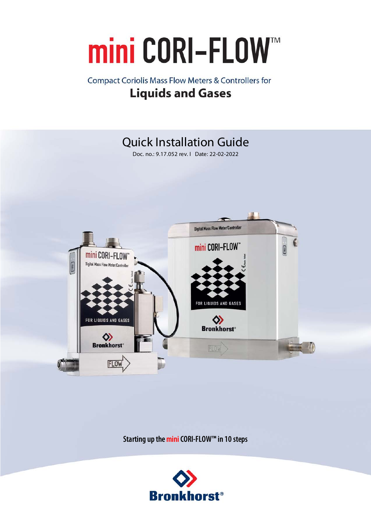# mini CORI-FLOW™

### **Compact Coriolis Mass Flow Meters & Controllers for Liquids and Gases**



**Starting up the mini CORI-FLOW™ in 10 steps**

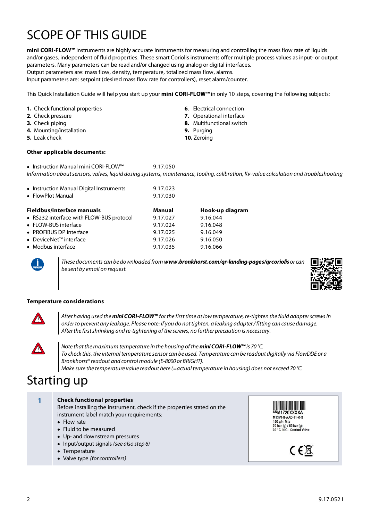# SCOPE OF THIS GUIDE

**mini CORI-FLOW™** instruments are highly accurate instruments for measuring and controlling the mass flow rate of liquids and/or gases, independent of fluid properties. These smart Coriolis instruments offer multiple process values as input- or output parameters. Many parameters can be read and/or changed using analog or digital interfaces. Output parameters are: mass flow, density, temperature, totalized mass flow, alarms.

Input parameters are: setpoint (desired mass flow rate for controllers), reset alarm/counter.

This Quick Installation Guide will help you start up your **mini CORI-FLOW™** in only 10 steps, covering the following subjects:

- **1.** Check functional properties
- **2.** Check pressure
- **3.** Check piping
- **4.** Mounting/installation
- **5.** Leak check

#### **Other applicable documents:**

- **6**. Electrical connection
- **7.** Operational interface
- **8.** Multifunctional switch
- **9.** Purging
- **10.** Zeroing

· Instruction Manual mini CORI-FLOW™ 9.17.050 Information about sensors, valves, liquid dosing systems, maintenance, tooling, calibration, Kv-value calculation and troubleshooting

| • Instruction Manual Digital Instruments<br>• FlowPlot Manual | 9.17.023<br>9.17.030 |                 |
|---------------------------------------------------------------|----------------------|-----------------|
| Fieldbus/interface manuals                                    | Manual               | Hook-up diagram |
| • RS232 interface with FLOW-BUS protocol                      | 9.17.027             | 9.16.044        |
| • FLOW-BUS interface                                          | 9.17.024             | 9.16.048        |
| • PROFIBUS DP interface                                       | 9.17.025             | 9.16.049        |
| ● DeviceNet™ interface                                        | 9.17.026             | 9.16.050        |
| • Modbus interface                                            | 9.17.035             | 9.16.066        |

These documents can be downloaded from **www.bronkhorst.com/qr-landing-pages/qrcoriolis** or can be sent by email on request.



#### **Temperature considerations**



After having used the **mini CORI-FLOW™** for the first time at low temperature, re-tighten the fluid adapter screws in order to prevent any leakage. Please note: if you do not tighten, a leaking adapter / fitting can cause damage. After the first shrinking and re-tightening of the screws, no further precaution is necessary.



Note that the maximum temperature in the housing of the **mini CORI-FLOW™** is 70 °C. To check this, the internal temperature sensor can be used. Temperature can be readout digitally via FlowDDE or a Bronkhorst® readout and control module (E-8000 or BRIGHT). Make sure the temperature value readout here (=actual temperature in housing) does not exceed 70 °C.

## Starting up

#### **1 Check functional properties**

Before installing the instrument, check if the properties stated on the instrument label match your requirements:

- · Flow rate
- Fluid to be measured
- · Up- and downstream pressures
- · Input/output signals (see also step 6)
- · Temperature
- Valve type (for controllers)



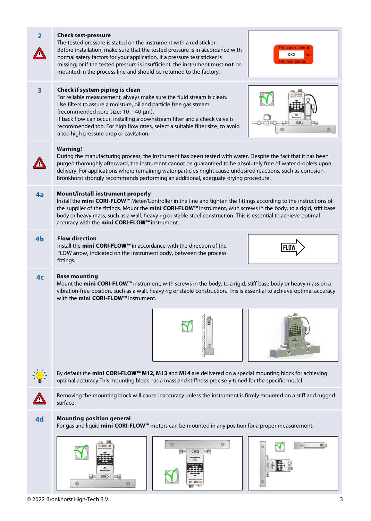| $\overline{2}$          | <b>Check test-pressure</b><br>The tested pressure is stated on the instrument with a red sticker.<br>ressure tested<br>Before installation, make sure that the tested pressure is in accordance with<br><b>XXX</b><br>normal safety factors for your application. If a pressure test sticker is<br>le leak test<br>missing, or if the tested pressure is insufficient, the instrument must not be<br>mounted in the process line and should be returned to the factory. |  |  |
|-------------------------|-------------------------------------------------------------------------------------------------------------------------------------------------------------------------------------------------------------------------------------------------------------------------------------------------------------------------------------------------------------------------------------------------------------------------------------------------------------------------|--|--|
| $\overline{\mathbf{3}}$ | Check if system piping is clean<br>For reliable measurement, always make sure the fluid stream is clean.<br>Use filters to assure a moisture, oil and particle free gas stream<br>(recommended pore-size: 1040 µm).<br>If back flow can occur, installing a downstream filter and a check valve is<br>recommended too. For high flow rates, select a suitable filter size, to avoid<br>a too high pressure drop or cavitation.                                          |  |  |
|                         | <b>Warning!</b><br>During the manufacturing process, the instrument has been tested with water. Despite the fact that it has been<br>purged thoroughly afterward, the instrument cannot be guaranteed to be absolutely free of water droplets upon<br>delivery. For applications where remaining water particles might cause undesired reactions, such as corrosion,<br>Bronkhorst strongly recommends performing an additional, adequate drying procedure.             |  |  |
| 4a                      | Mount/install instrument properly<br>Install the mini CORI-FLOW™ Meter/Controller in the line and tighten the fittings according to the instructions of<br>the supplier of the fittings. Mount the mini CORI-FLOW <sup>m</sup> instrument, with screws in the body, to a rigid, stiff base<br>body or heavy mass, such as a wall, heavy rig or stable steel construction. This is essential to achieve optimal<br>accuracy with the mini CORI-FLOW™ instrument.         |  |  |
| 4 <sub>b</sub>          | <b>Flow direction</b><br>Install the mini CORI-FLOW™ in accordance with the direction of the<br>FLOW arrow, indicated on the instrument body, between the process<br>fittings.                                                                                                                                                                                                                                                                                          |  |  |
| 4 <sub>c</sub>          | <b>Base mounting</b><br>Mount the mini CORI-FLOW™ instrument, with screws in the body, to a rigid, stiff base body or heavy mass on a<br>vibration-free position, such as a wall, heavy rig or stable construction. This is essential to achieve optimal accuracy<br>with the <b>mini CORI-FLOW™</b> instrument.                                                                                                                                                        |  |  |
|                         | By default the <b>mini CORI-FLOW™ M12, M13</b> and <b>M14</b> are delivered on a special mounting block for achieving                                                                                                                                                                                                                                                                                                                                                   |  |  |
|                         | optimal accuracy. This mounting block has a mass and stiffness precisely tuned for the specific model.<br>Removing the mounting block will cause inaccuracy unless the instrument is firmly mounted on a stiff and rugged<br>surface.                                                                                                                                                                                                                                   |  |  |
| 4d                      | <b>Mounting position general</b><br>For gas and liquid <b>mini CORI-FLOW</b> <sup>™</sup> meters can be mounted in any position for a proper measurement.<br>ø<br>Q<br>田門                                                                                                                                                                                                                                                                                               |  |  |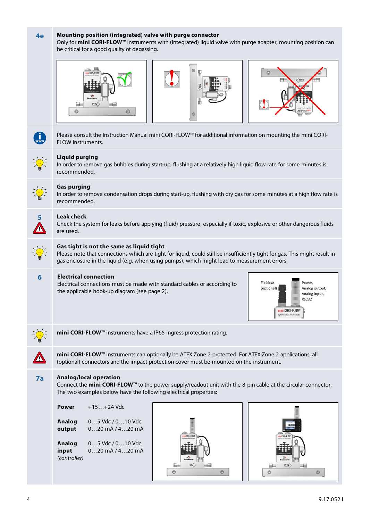| 4e            | Mounting position (integrated) valve with purge connector<br>Only for mini CORI-FLOW™ instruments with (integrated) liquid valve with purge adapter, mounting position can<br>be critical for a good quality of degassing.                                                                                |  |  |
|---------------|-----------------------------------------------------------------------------------------------------------------------------------------------------------------------------------------------------------------------------------------------------------------------------------------------------------|--|--|
|               | $\odot$                                                                                                                                                                                                                                                                                                   |  |  |
|               | Please consult the Instruction Manual mini CORI-FLOW™ for additional information on mounting the mini CORI-<br>FLOW instruments.                                                                                                                                                                          |  |  |
|               | <b>Liquid purging</b><br>In order to remove gas bubbles during start-up, flushing at a relatively high liquid flow rate for some minutes is<br>recommended.                                                                                                                                               |  |  |
|               | <b>Gas purging</b><br>In order to remove condensation drops during start-up, flushing with dry gas for some minutes at a high flow rate is<br>recommended.                                                                                                                                                |  |  |
| 5             | <b>Leak check</b><br>Check the system for leaks before applying (fluid) pressure, especially if toxic, explosive or other dangerous fluids<br>are used.                                                                                                                                                   |  |  |
| $\frac{1}{2}$ | Gas tight is not the same as liquid tight<br>Please note that connections which are tight for liquid, could still be insufficiently tight for gas. This might result in<br>gas enclosure in the liquid (e.g. when using pumps), which might lead to measurement errors.                                   |  |  |
| 6             | <b>Electrical connection</b><br>Fieldbus<br>Power,<br>Electrical connections must be made with standard cables or according to<br>(optional)<br>Analog output,<br>the applicable hook-up diagram (see page 2).<br>Analog input,<br><b>RS232</b><br>mini CORI-FLO\<br><b>Digital Mass Flow Meter/Contr</b> |  |  |
|               | mini CORI-FLOW <sup>™</sup> instruments have a IP65 ingress protection rating.                                                                                                                                                                                                                            |  |  |
|               | mini CORI-FLOW™ instruments can optionally be ATEX Zone 2 protected. For ATEX Zone 2 applications, all<br>(optional) connectors and the impact protection cover must be mounted on the instrument.                                                                                                        |  |  |
| 7a            | Analog/local operation<br>Connect the mini CORI-FLOW <sup>™</sup> to the power supply/readout unit with the 8-pin cable at the circular connector.<br>The two examples below have the following electrical properties:                                                                                    |  |  |
|               | $+15+24$ Vdc<br>Power                                                                                                                                                                                                                                                                                     |  |  |
|               | Analog<br>$05$ Vdc $/010$ Vdc<br>$020$ mA $/420$ mA<br>output                                                                                                                                                                                                                                             |  |  |
|               | Analog<br>$05$ Vdc $/010$ Vdc<br>$020$ mA $/420$ mA<br>input<br>(controller)<br>$^{\circ}$                                                                                                                                                                                                                |  |  |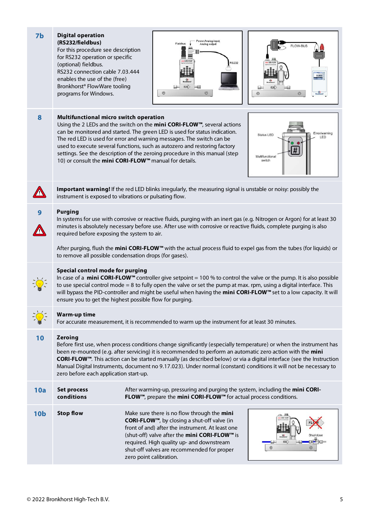| 7 <sub>b</sub>  | <b>Digital operation</b><br>(RS232/fieldbus)<br>For this procedure see description<br>for RS232 operation or specific<br>(optional) fieldbus.<br>RS232 connection cable 7.03.444<br>enables the use of the (free)<br>Bronkhorst <sup>®</sup> FlowWare tooling<br>programs for Windows.                                                                                                                                                                                                                                                    | ower, Analog input<br>Fieldbus<br>Analog output<br><b>RS232</b><br>EGY)<br>$\circledcirc$<br>O                                                                                                                                                                                                                                                                                                                                                       | <b>FLOW-BUS</b><br>0.000<br><b>FLOW</b><br>⊚                    |
|-----------------|-------------------------------------------------------------------------------------------------------------------------------------------------------------------------------------------------------------------------------------------------------------------------------------------------------------------------------------------------------------------------------------------------------------------------------------------------------------------------------------------------------------------------------------------|------------------------------------------------------------------------------------------------------------------------------------------------------------------------------------------------------------------------------------------------------------------------------------------------------------------------------------------------------------------------------------------------------------------------------------------------------|-----------------------------------------------------------------|
| 8               | Multifunctional micro switch operation                                                                                                                                                                                                                                                                                                                                                                                                                                                                                                    | Using the 2 LEDs and the switch on the mini CORI-FLOW™, several actions<br>can be monitored and started. The green LED is used for status indication.<br>The red LED is used for error and warning messages. The switch can be<br>used to execute several functions, such as autozero and restoring factory<br>settings. See the description of the zeroing procedure in this manual (step<br>10) or consult the mini CORI-FLOW™ manual for details. | Error/warning<br>Status LED<br>LED<br>Multifunctional<br>switch |
|                 | Important warning! If the red LED blinks irregularly, the measuring signal is unstable or noisy: possibly the<br>instrument is exposed to vibrations or pulsating flow.                                                                                                                                                                                                                                                                                                                                                                   |                                                                                                                                                                                                                                                                                                                                                                                                                                                      |                                                                 |
| 9               | <b>Purging</b><br>In systems for use with corrosive or reactive fluids, purging with an inert gas (e.g. Nitrogen or Argon) for at least 30<br>minutes is absolutely necessary before use. After use with corrosive or reactive fluids, complete purging is also<br>required before exposing the system to air.<br>After purging, flush the <b>mini CORI-FLOW</b> <sup>™</sup> with the actual process fluid to expel gas from the tubes (for liquids) or                                                                                  |                                                                                                                                                                                                                                                                                                                                                                                                                                                      |                                                                 |
|                 |                                                                                                                                                                                                                                                                                                                                                                                                                                                                                                                                           | to remove all possible condensation drops (for gases).                                                                                                                                                                                                                                                                                                                                                                                               |                                                                 |
|                 | Special control mode for purging<br>In case of a mini CORI-FLOW <sup>TM</sup> controller give setpoint = 100 % to control the valve or the pump. It is also possible<br>to use special control mode $= 8$ to fully open the valve or set the pump at max. rpm, using a digital interface. This<br>will bypass the PID-controller and might be useful when having the mini CORI-FLOW <sup>™</sup> set to a low capacity. It will<br>ensure you to get the highest possible flow for purging.                                               |                                                                                                                                                                                                                                                                                                                                                                                                                                                      |                                                                 |
|                 | <b>Warm-up time</b><br>For accurate measurement, it is recommended to warm up the instrument for at least 30 minutes.                                                                                                                                                                                                                                                                                                                                                                                                                     |                                                                                                                                                                                                                                                                                                                                                                                                                                                      |                                                                 |
| 10              | <b>Zeroing</b><br>Before first use, when process conditions change significantly (especially temperature) or when the instrument has<br>been re-mounted (e.g. after servicing) it is recommended to perform an automatic zero action with the mini<br>CORI-FLOW™. This action can be started manually (as described below) or via a digital interface (see the Instruction<br>Manual Digital Instruments, document no 9.17.023). Under normal (constant) conditions it will not be necessary to<br>zero before each application start-up. |                                                                                                                                                                                                                                                                                                                                                                                                                                                      |                                                                 |
| 10a             | <b>Set process</b><br>conditions                                                                                                                                                                                                                                                                                                                                                                                                                                                                                                          | After warming-up, pressuring and purging the system, including the mini CORI-<br>FLOW™, prepare the mini CORI-FLOW™ for actual process conditions.                                                                                                                                                                                                                                                                                                   |                                                                 |
| 10 <sub>b</sub> | <b>Stop flow</b>                                                                                                                                                                                                                                                                                                                                                                                                                                                                                                                          | Make sure there is no flow through the mini<br>CORI-FLOW™, by closing a shut-off valve (in<br>front of and) after the instrument. At least one<br>(shut-off) valve after the mini CORI-FLOW™ is<br>required. High quality up- and downstream<br>shut-off valves are recommended for proper<br>zero point calibration.                                                                                                                                | Shut/close<br>O                                                 |